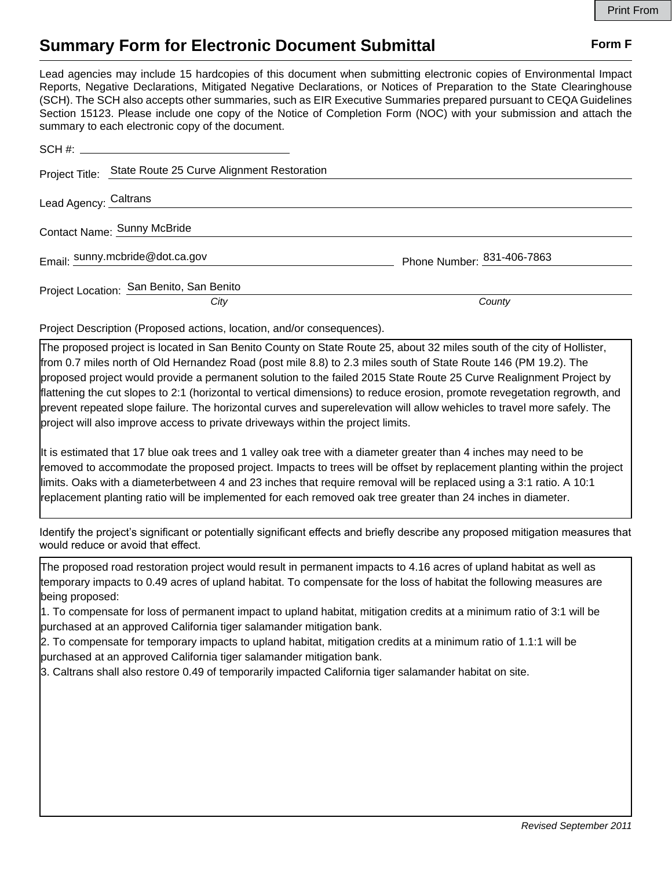## **Summary Form for Electronic Document Submittal Form F Form F**

Lead agencies may include 15 hardcopies of this document when submitting electronic copies of Environmental Impact Reports, Negative Declarations, Mitigated Negative Declarations, or Notices of Preparation to the State Clearinghouse (SCH). The SCH also accepts other summaries, such as EIR Executive Summaries prepared pursuant to CEQA Guidelines Section 15123. Please include one copy of the Notice of Completion Form (NOC) with your submission and attach the summary to each electronic copy of the document.

|                       | Project Title: State Route 25 Curve Alignment Restoration |                            |
|-----------------------|-----------------------------------------------------------|----------------------------|
| Lead Agency: Caltrans |                                                           |                            |
|                       | Contact Name: Sunny McBride                               |                            |
|                       | Email: sunny.mcbride@dot.ca.gov                           | Phone Number: 831-406-7863 |
|                       | Project Location: San Benito, San Benito                  |                            |
|                       | City                                                      | County                     |

Project Description (Proposed actions, location, and/or consequences).

The proposed project is located in San Benito County on State Route 25, about 32 miles south of the city of Hollister, from 0.7 miles north of Old Hernandez Road (post mile 8.8) to 2.3 miles south of State Route 146 (PM 19.2). The proposed project would provide a permanent solution to the failed 2015 State Route 25 Curve Realignment Project by flattening the cut slopes to 2:1 (horizontal to vertical dimensions) to reduce erosion, promote revegetation regrowth, and prevent repeated slope failure. The horizontal curves and superelevation will allow wehicles to travel more safely. The project will also improve access to private driveways within the project limits.

It is estimated that 17 blue oak trees and 1 valley oak tree with a diameter greater than 4 inches may need to be removed to accommodate the proposed project. Impacts to trees will be offset by replacement planting within the project limits. Oaks with a diameterbetween 4 and 23 inches that require removal will be replaced using a 3:1 ratio. A 10:1 replacement planting ratio will be implemented for each removed oak tree greater than 24 inches in diameter.

Identify the project's significant or potentially significant effects and briefly describe any proposed mitigation measures that would reduce or avoid that effect.

The proposed road restoration project would result in permanent impacts to 4.16 acres of upland habitat as well as temporary impacts to 0.49 acres of upland habitat. To compensate for the loss of habitat the following measures are being proposed:

1. To compensate for loss of permanent impact to upland habitat, mitigation credits at a minimum ratio of 3:1 will be purchased at an approved California tiger salamander mitigation bank.

2. To compensate for temporary impacts to upland habitat, mitigation credits at a minimum ratio of 1.1:1 will be purchased at an approved California tiger salamander mitigation bank.

3. Caltrans shall also restore 0.49 of temporarily impacted California tiger salamander habitat on site.